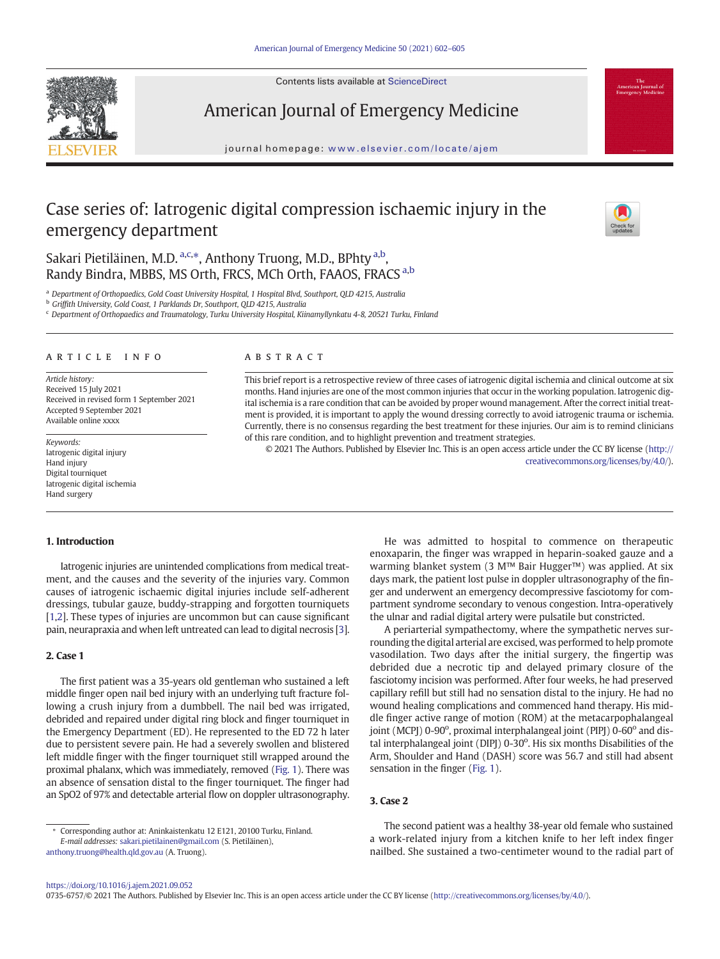Contents lists available at ScienceDirect



American Journal of Emergency Medicine

journal homepage: <www.elsevier.com/locate/ajem>

# Case series of: Iatrogenic digital compression ischaemic injury in the emergency department



Sakari Pietiläinen, M.D. <sup>a,c,\*</sup>, Anthony Truong, M.D., BPhty <sup>a,b</sup>, Randy Bindra, MBBS, MS Orth, FRCS, MCh Orth, FAAOS, FRACS a,b

a Department of Orthopaedics, Gold Coast University Hospital, 1 Hospital Blvd, Southport, QLD 4215, Australia

<sup>b</sup> Griffith University, Gold Coast, 1 Parklands Dr, Southport, QLD 4215, Australia

<sup>c</sup> Department of Orthopaedics and Traumatology, Turku University Hospital, Kiinamyllynkatu 4-8, 20521 Turku, Finland

#### article info abstract

Article history: Received 15 July 2021 Received in revised form 1 September 2021 Accepted 9 September 2021 Available online xxxx

Keywords: Iatrogenic digital injury Hand injury Digital tourniquet Iatrogenic digital ischemia Hand surgery

This brief report is a retrospective review of three cases of iatrogenic digital ischemia and clinical outcome at six months. Hand injuries are one of the most common injuries that occur in the working population. Iatrogenic digital ischemia is a rare condition that can be avoided by proper wound management. After the correct initial treatment is provided, it is important to apply the wound dressing correctly to avoid iatrogenic trauma or ischemia. Currently, there is no consensus regarding the best treatment for these injuries. Our aim is to remind clinicians of this rare condition, and to highlight prevention and treatment strategies.

© 2021 The Authors. Published by Elsevier Inc. This is an open access article under the CC BY license ([http://](http://creativecommons.org/licenses/by/4.0/) [creativecommons.org/licenses/by/4.0/\)](http://creativecommons.org/licenses/by/4.0/).

#### 1. Introduction

Iatrogenic injuries are unintended complications from medical treatment, and the causes and the severity of the injuries vary. Common causes of iatrogenic ischaemic digital injuries include self-adherent dressings, tubular gauze, buddy-strapping and forgotten tourniquets [[1,2\]](#page-3-0). These types of injuries are uncommon but can cause significant pain, neurapraxia and when left untreated can lead to digital necrosis [\[3\]](#page-3-0).

#### 2. Case 1

The first patient was a 35-years old gentleman who sustained a left middle finger open nail bed injury with an underlying tuft fracture following a crush injury from a dumbbell. The nail bed was irrigated, debrided and repaired under digital ring block and finger tourniquet in the Emergency Department (ED). He represented to the ED 72 h later due to persistent severe pain. He had a severely swollen and blistered left middle finger with the finger tourniquet still wrapped around the proximal phalanx, which was immediately, removed ([Fig. 1\)](#page-1-0). There was an absence of sensation distal to the finger tourniquet. The finger had an SpO2 of 97% and detectable arterial flow on doppler ultrasonography.

He was admitted to hospital to commence on therapeutic enoxaparin, the finger was wrapped in heparin-soaked gauze and a warming blanket system (3 M™ Bair Hugger™) was applied. At six days mark, the patient lost pulse in doppler ultrasonography of the finger and underwent an emergency decompressive fasciotomy for compartment syndrome secondary to venous congestion. Intra-operatively the ulnar and radial digital artery were pulsatile but constricted.

A periarterial sympathectomy, where the sympathetic nerves surrounding the digital arterial are excised, was performed to help promote vasodilation. Two days after the initial surgery, the fingertip was debrided due a necrotic tip and delayed primary closure of the fasciotomy incision was performed. After four weeks, he had preserved capillary refill but still had no sensation distal to the injury. He had no wound healing complications and commenced hand therapy. His middle finger active range of motion (ROM) at the metacarpophalangeal joint (MCPJ) 0-90°, proximal interphalangeal joint (PIPJ) 0-60° and distal interphalangeal joint (DIPJ) 0-30°. His six months Disabilities of the Arm, Shoulder and Hand (DASH) score was 56.7 and still had absent sensation in the finger [\(Fig. 1\)](#page-1-0).

## 3. Case 2

[anthony.truong@health.qld.gov.au](mailto:anthony.truong@health.qld.gov.au) (A. Truong).

The second patient was a healthy 38-year old female who sustained a work-related injury from a kitchen knife to her left index finger nailbed. She sustained a two-centimeter wound to the radial part of

0735-6757/© 2021 The Authors. Published by Elsevier Inc. This is an open access article under the CC BY license (<http://creativecommons.org/licenses/by/4.0/>).

Corresponding author at: Aninkaistenkatu 12 E121, 20100 Turku, Finland. E-mail addresses: [sakari.pietilainen@gmail.com](mailto:sakari.pietilainen@gmail.com) (S. Pietiläinen),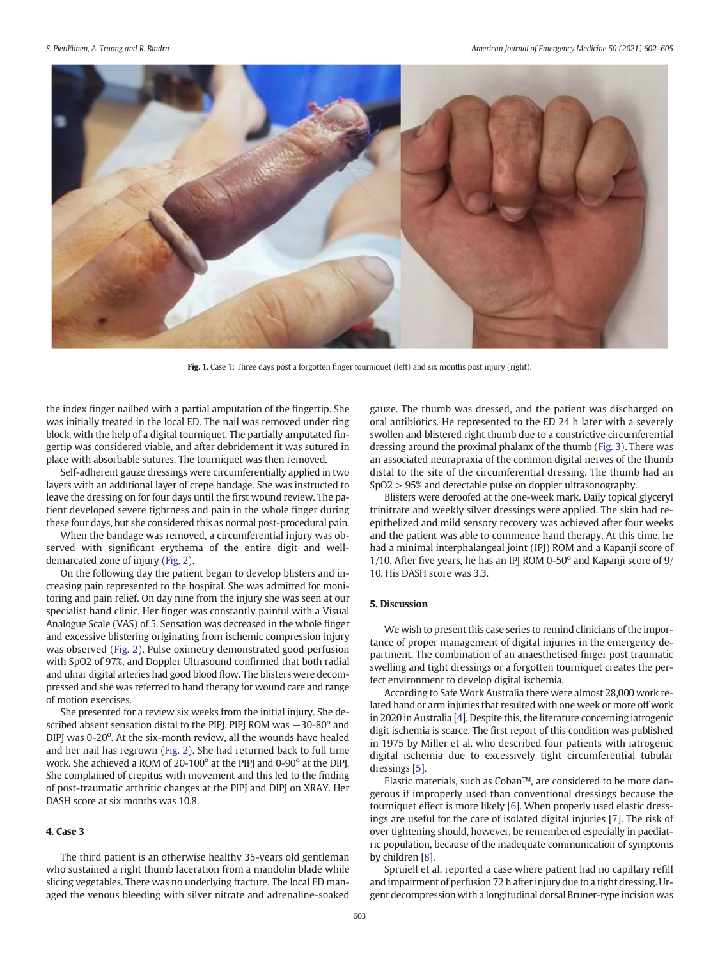<span id="page-1-0"></span>

Fig. 1. Case 1: Three days post a forgotten finger tourniquet (left) and six months post injury (right).

the index finger nailbed with a partial amputation of the fingertip. She was initially treated in the local ED. The nail was removed under ring block, with the help of a digital tourniquet. The partially amputated fingertip was considered viable, and after debridement it was sutured in place with absorbable sutures. The tourniquet was then removed.

Self-adherent gauze dressings were circumferentially applied in two layers with an additional layer of crepe bandage. She was instructed to leave the dressing on for four days until the first wound review. The patient developed severe tightness and pain in the whole finger during these four days, but she considered this as normal post-procedural pain.

When the bandage was removed, a circumferential injury was observed with significant erythema of the entire digit and welldemarcated zone of injury [\(Fig. 2\)](#page-2-0).

On the following day the patient began to develop blisters and increasing pain represented to the hospital. She was admitted for monitoring and pain relief. On day nine from the injury she was seen at our specialist hand clinic. Her finger was constantly painful with a Visual Analogue Scale (VAS) of 5. Sensation was decreased in the whole finger and excessive blistering originating from ischemic compression injury was observed ([Fig. 2](#page-2-0)). Pulse oximetry demonstrated good perfusion with SpO2 of 97%, and Doppler Ultrasound confirmed that both radial and ulnar digital arteries had good blood flow. The blisters were decompressed and she was referred to hand therapy for wound care and range of motion exercises.

She presented for a review six weeks from the initial injury. She described absent sensation distal to the PIPJ. PIPJ ROM was −30-80° and DIPJ was 0-20°. At the six-month review, all the wounds have healed and her nail has regrown [\(Fig. 2\)](#page-2-0). She had returned back to full time work. She achieved a ROM of 20-100° at the PIPJ and 0-90° at the DIPJ. She complained of crepitus with movement and this led to the finding of post-traumatic arthritic changes at the PIPJ and DIPJ on XRAY. Her DASH score at six months was 10.8.

# 4. Case 3

The third patient is an otherwise healthy 35-years old gentleman who sustained a right thumb laceration from a mandolin blade while slicing vegetables. There was no underlying fracture. The local ED managed the venous bleeding with silver nitrate and adrenaline-soaked gauze. The thumb was dressed, and the patient was discharged on oral antibiotics. He represented to the ED 24 h later with a severely swollen and blistered right thumb due to a constrictive circumferential dressing around the proximal phalanx of the thumb [\(Fig. 3\)](#page-2-0). There was an associated neurapraxia of the common digital nerves of the thumb distal to the site of the circumferential dressing. The thumb had an SpO2 > 95% and detectable pulse on doppler ultrasonography.

Blisters were deroofed at the one-week mark. Daily topical glyceryl trinitrate and weekly silver dressings were applied. The skin had reepithelized and mild sensory recovery was achieved after four weeks and the patient was able to commence hand therapy. At this time, he had a minimal interphalangeal joint (IPJ) ROM and a Kapanji score of 1/10. After five years, he has an IPJ ROM 0-50 $^{\circ}$  and Kapanji score of 9/ 10. His DASH score was 3.3.

# 5. Discussion

We wish to present this case series to remind clinicians of the importance of proper management of digital injuries in the emergency department. The combination of an anaesthetised finger post traumatic swelling and tight dressings or a forgotten tourniquet creates the perfect environment to develop digital ischemia.

According to Safe Work Australia there were almost 28,000 work related hand or arm injuries that resulted with one week or more off work in 2020 in Australia [\[4\]](#page-3-0). Despite this, the literature concerning iatrogenic digit ischemia is scarce. The first report of this condition was published in 1975 by Miller et al. who described four patients with iatrogenic digital ischemia due to excessively tight circumferential tubular dressings [\[5](#page-3-0)].

Elastic materials, such as Coban™, are considered to be more dangerous if improperly used than conventional dressings because the tourniquet effect is more likely [[6](#page-3-0)]. When properly used elastic dressings are useful for the care of isolated digital injuries [\[7](#page-3-0)]. The risk of over tightening should, however, be remembered especially in paediatric population, because of the inadequate communication of symptoms by children [\[8](#page-3-0)].

Spruiell et al. reported a case where patient had no capillary refill and impairment of perfusion 72 h after injury due to a tight dressing. Urgent decompression with a longitudinal dorsal Bruner-type incision was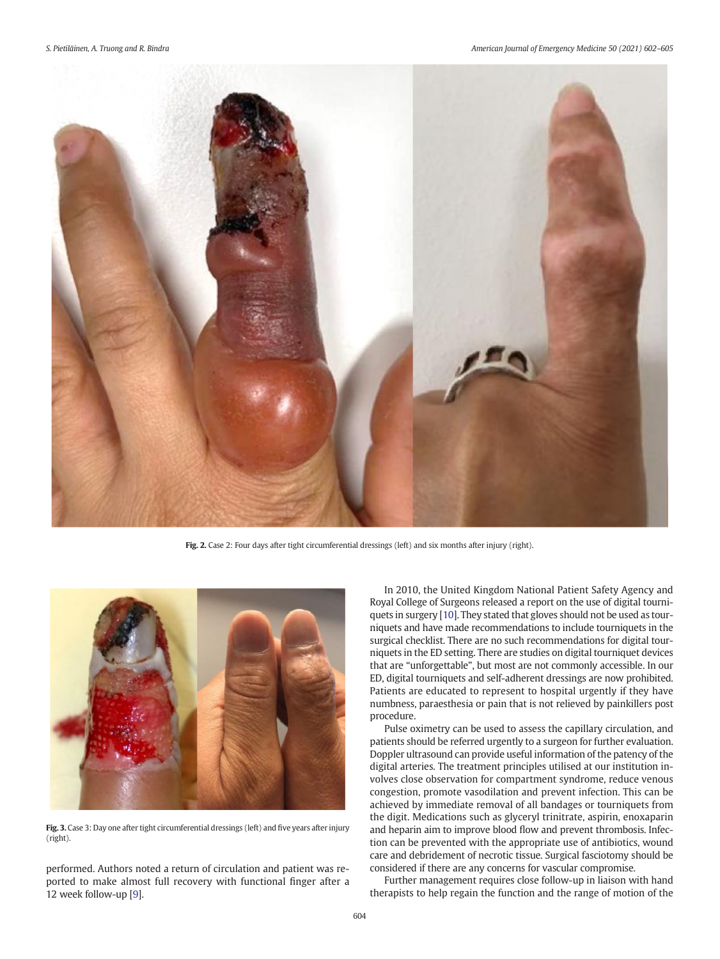<span id="page-2-0"></span>

Fig. 2. Case 2: Four days after tight circumferential dressings (left) and six months after injury (right).



Fig. 3. Case 3: Day one after tight circumferential dressings (left) and five years after injury (right).

performed. Authors noted a return of circulation and patient was reported to make almost full recovery with functional finger after a 12 week follow-up [\[9](#page-3-0)].

In 2010, the United Kingdom National Patient Safety Agency and Royal College of Surgeons released a report on the use of digital tourniquets in surgery [\[10](#page-3-0)]. They stated that gloves should not be used as tourniquets and have made recommendations to include tourniquets in the surgical checklist. There are no such recommendations for digital tourniquets in the ED setting. There are studies on digital tourniquet devices that are "unforgettable", but most are not commonly accessible. In our ED, digital tourniquets and self-adherent dressings are now prohibited. Patients are educated to represent to hospital urgently if they have numbness, paraesthesia or pain that is not relieved by painkillers post procedure.

Pulse oximetry can be used to assess the capillary circulation, and patients should be referred urgently to a surgeon for further evaluation. Doppler ultrasound can provide useful information of the patency of the digital arteries. The treatment principles utilised at our institution involves close observation for compartment syndrome, reduce venous congestion, promote vasodilation and prevent infection. This can be achieved by immediate removal of all bandages or tourniquets from the digit. Medications such as glyceryl trinitrate, aspirin, enoxaparin and heparin aim to improve blood flow and prevent thrombosis. Infection can be prevented with the appropriate use of antibiotics, wound care and debridement of necrotic tissue. Surgical fasciotomy should be considered if there are any concerns for vascular compromise.

Further management requires close follow-up in liaison with hand therapists to help regain the function and the range of motion of the